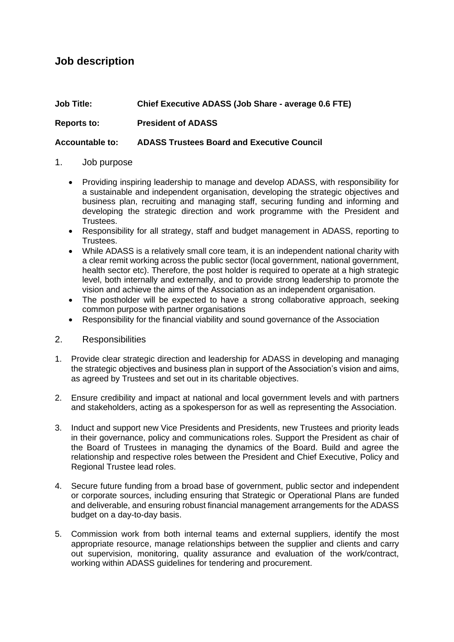# **Job description**

# **Job Title: Chief Executive ADASS (Job Share - average 0.6 FTE) Reports to: President of ADASS**

## **Accountable to: ADASS Trustees Board and Executive Council**

### 1. Job purpose

- Providing inspiring leadership to manage and develop ADASS, with responsibility for a sustainable and independent organisation, developing the strategic objectives and business plan, recruiting and managing staff, securing funding and informing and developing the strategic direction and work programme with the President and Trustees.
- Responsibility for all strategy, staff and budget management in ADASS, reporting to Trustees.
- While ADASS is a relatively small core team, it is an independent national charity with a clear remit working across the public sector (local government, national government, health sector etc). Therefore, the post holder is required to operate at a high strategic level, both internally and externally, and to provide strong leadership to promote the vision and achieve the aims of the Association as an independent organisation.
- The postholder will be expected to have a strong collaborative approach, seeking common purpose with partner organisations
- Responsibility for the financial viability and sound governance of the Association
- 2. Responsibilities
- 1. Provide clear strategic direction and leadership for ADASS in developing and managing the strategic objectives and business plan in support of the Association's vision and aims, as agreed by Trustees and set out in its charitable objectives.
- 2. Ensure credibility and impact at national and local government levels and with partners and stakeholders, acting as a spokesperson for as well as representing the Association.
- 3. Induct and support new Vice Presidents and Presidents, new Trustees and priority leads in their governance, policy and communications roles. Support the President as chair of the Board of Trustees in managing the dynamics of the Board. Build and agree the relationship and respective roles between the President and Chief Executive, Policy and Regional Trustee lead roles.
- 4. Secure future funding from a broad base of government, public sector and independent or corporate sources, including ensuring that Strategic or Operational Plans are funded and deliverable, and ensuring robust financial management arrangements for the ADASS budget on a day-to-day basis.
- 5. Commission work from both internal teams and external suppliers, identify the most appropriate resource, manage relationships between the supplier and clients and carry out supervision, monitoring, quality assurance and evaluation of the work/contract, working within ADASS guidelines for tendering and procurement.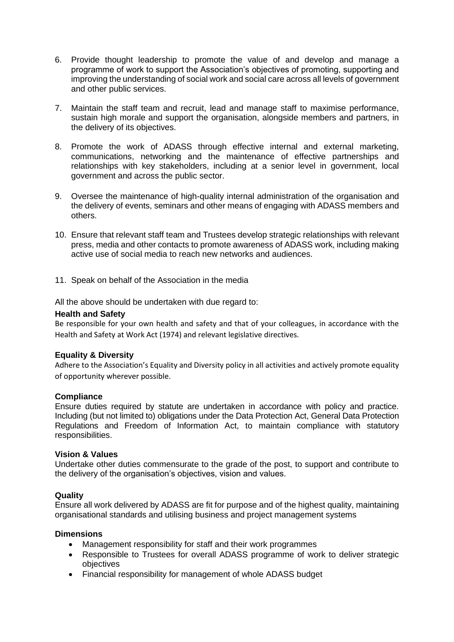- 6. Provide thought leadership to promote the value of and develop and manage a programme of work to support the Association's objectives of promoting, supporting and improving the understanding of social work and social care across all levels of government and other public services.
- 7. Maintain the staff team and recruit, lead and manage staff to maximise performance, sustain high morale and support the organisation, alongside members and partners, in the delivery of its objectives.
- 8. Promote the work of ADASS through effective internal and external marketing, communications, networking and the maintenance of effective partnerships and relationships with key stakeholders, including at a senior level in government, local government and across the public sector.
- 9. Oversee the maintenance of high-quality internal administration of the organisation and the delivery of events, seminars and other means of engaging with ADASS members and others.
- 10. Ensure that relevant staff team and Trustees develop strategic relationships with relevant press, media and other contacts to promote awareness of ADASS work, including making active use of social media to reach new networks and audiences.
- 11. Speak on behalf of the Association in the media

All the above should be undertaken with due regard to:

#### **Health and Safety**

Be responsible for your own health and safety and that of your colleagues, in accordance with the Health and Safety at Work Act (1974) and relevant legislative directives.

#### **Equality & Diversity**

Adhere to the Association's Equality and Diversity policy in all activities and actively promote equality of opportunity wherever possible.

#### **Compliance**

Ensure duties required by statute are undertaken in accordance with policy and practice. Including (but not limited to) obligations under the Data Protection Act, General Data Protection Regulations and Freedom of Information Act, to maintain compliance with statutory responsibilities.

#### **Vision & Values**

Undertake other duties commensurate to the grade of the post, to support and contribute to the delivery of the organisation's objectives, vision and values.

#### **Quality**

Ensure all work delivered by ADASS are fit for purpose and of the highest quality, maintaining organisational standards and utilising business and project management systems

#### **Dimensions**

- Management responsibility for staff and their work programmes
- Responsible to Trustees for overall ADASS programme of work to deliver strategic objectives
- Financial responsibility for management of whole ADASS budget